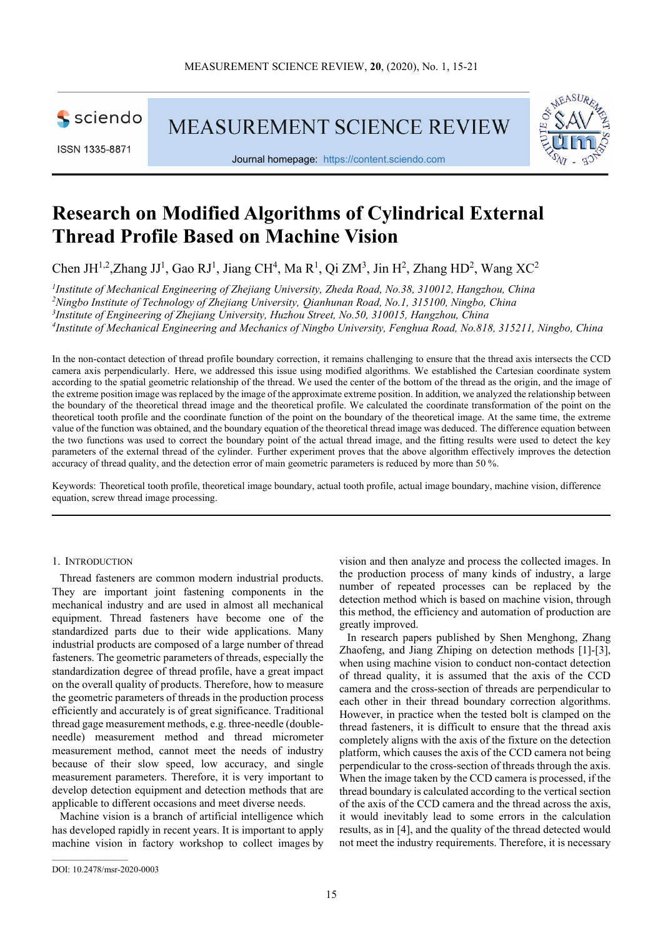

ISSN 1335-8871

MEASUREMENT SCIENCE REVIEW



Journal homepage: https://content.sciendo.com

# **Research on Modified Algorithms of Cylindrical External Thread Profile Based on Machine Vision**

Chen JH<sup>1,2</sup>,Zhang JJ<sup>1</sup>, Gao RJ<sup>1</sup>, Jiang CH<sup>4</sup>, Ma R<sup>1</sup>, Qi ZM<sup>3</sup>, Jin H<sup>2</sup>, Zhang HD<sup>2</sup>, Wang XC<sup>2</sup>

 *Institute of Mechanical Engineering of Zhejiang University, Zheda Road, No.38, 310012, Hangzhou, China Ningbo Institute of Technology of Zhejiang University, Qianhunan Road, No.1, 315100, Ningbo, China Institute of Engineering of Zhejiang University, Huzhou Street, No.50, 310015, Hangzhou, China Institute of Mechanical Engineering and Mechanics of Ningbo University, Fenghua Road, No.818, 315211, Ningbo, China*

In the non-contact detection of thread profile boundary correction, it remains challenging to ensure that the thread axis intersects the CCD camera axis perpendicularly. Here, we addressed this issue using modified algorithms. We established the Cartesian coordinate system according to the spatial geometric relationship of the thread. We used the center of the bottom of the thread as the origin, and the image of the extreme position image was replaced by the image of the approximate extreme position. In addition, we analyzed the relationship between the boundary of the theoretical thread image and the theoretical profile. We calculated the coordinate transformation of the point on the theoretical tooth profile and the coordinate function of the point on the boundary of the theoretical image. At the same time, the extreme value of the function was obtained, and the boundary equation of the theoretical thread image was deduced. The difference equation between the two functions was used to correct the boundary point of the actual thread image, and the fitting results were used to detect the key parameters of the external thread of the cylinder. Further experiment proves that the above algorithm effectively improves the detection accuracy of thread quality, and the detection error of main geometric parameters is reduced by more than 50 %.

Keywords: Theoretical tooth profile, theoretical image boundary, actual tooth profile, actual image boundary, machine vision, difference equation, screw thread image processing.

### 1. INTRODUCTION

Thread fasteners are common modern industrial products. They are important joint fastening components in the mechanical industry and are used in almost all mechanical equipment. Thread fasteners have become one of the standardized parts due to their wide applications. Many industrial products are composed of a large number of thread fasteners. The geometric parameters of threads, especially the standardization degree of thread profile, have a great impact on the overall quality of products. Therefore, how to measure the geometric parameters of threads in the production process efficiently and accurately is of great significance. Traditional thread gage measurement methods, e.g. three-needle (doubleneedle) measurement method and thread micrometer measurement method, cannot meet the needs of industry because of their slow speed, low accuracy, and single measurement parameters. Therefore, it is very important to develop detection equipment and detection methods that are applicable to different occasions and meet diverse needs.

Machine vision is a branch of artificial intelligence which has developed rapidly in recent years. It is important to apply machine vision in factory workshop to collect images by

vision and then analyze and process the collected images. In the production process of many kinds of industry, a large number of repeated processes can be replaced by the detection method which is based on machine vision, through this method, the efficiency and automation of production are greatly improved.

In research papers published by Shen Menghong, Zhang Zhaofeng, and Jiang Zhiping on detection methods [1]-[3], when using machine vision to conduct non-contact detection of thread quality, it is assumed that the axis of the CCD camera and the cross-section of threads are perpendicular to each other in their thread boundary correction algorithms. However, in practice when the tested bolt is clamped on the thread fasteners, it is difficult to ensure that the thread axis completely aligns with the axis of the fixture on the detection platform, which causes the axis of the CCD camera not being perpendicular to the cross-section of threads through the axis. When the image taken by the CCD camera is processed, if the thread boundary is calculated according to the vertical section of the axis of the CCD camera and the thread across the axis, it would inevitably lead to some errors in the calculation results, as in [4], and the quality of the thread detected would not meet the industry requirements. Therefore, it is necessary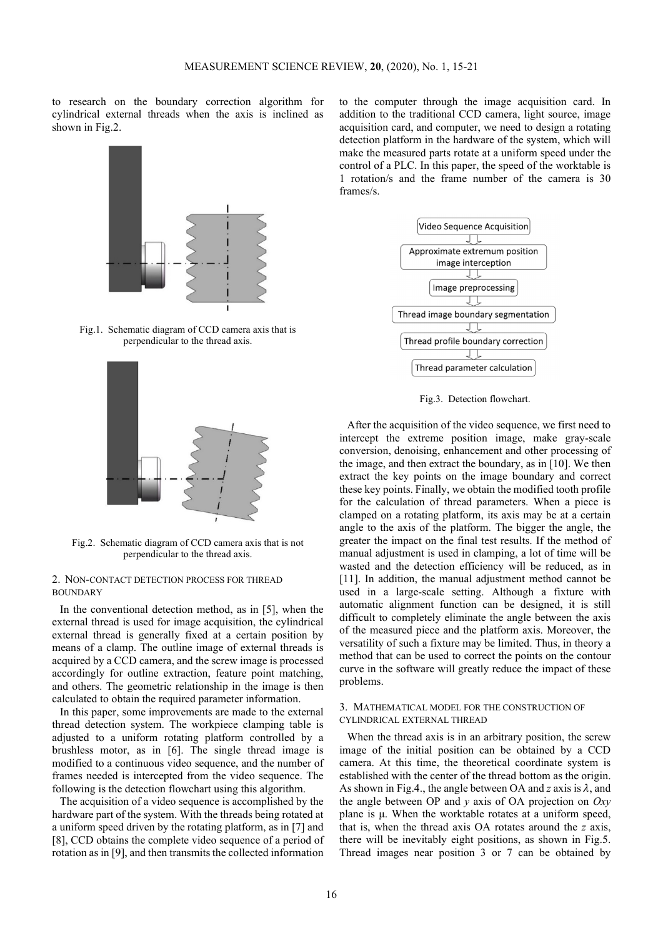to research on the boundary correction algorithm for cylindrical external threads when the axis is inclined as shown in Fig.2.



Fig.1. Schematic diagram of CCD camera axis that is perpendicular to the thread axis.



Fig.2. Schematic diagram of CCD camera axis that is not perpendicular to the thread axis.

## 2. NON-CONTACT DETECTION PROCESS FOR THREAD BOUNDARY

In the conventional detection method, as in [5], when the external thread is used for image acquisition, the cylindrical external thread is generally fixed at a certain position by means of a clamp. The outline image of external threads is acquired by a CCD camera, and the screw image is processed accordingly for outline extraction, feature point matching, and others. The geometric relationship in the image is then calculated to obtain the required parameter information.

In this paper, some improvements are made to the external thread detection system. The workpiece clamping table is adjusted to a uniform rotating platform controlled by a brushless motor, as in [6]. The single thread image is modified to a continuous video sequence, and the number of frames needed is intercepted from the video sequence. The following is the detection flowchart using this algorithm.

The acquisition of a video sequence is accomplished by the hardware part of the system. With the threads being rotated at a uniform speed driven by the rotating platform, as in [7] and [8], CCD obtains the complete video sequence of a period of rotation as in [9], and then transmits the collected information

to the computer through the image acquisition card. In addition to the traditional CCD camera, light source, image acquisition card, and computer, we need to design a rotating detection platform in the hardware of the system, which will make the measured parts rotate at a uniform speed under the control of a PLC. In this paper, the speed of the worktable is 1 rotation/s and the frame number of the camera is 30 frames/s.



Fig.3. Detection flowchart.

After the acquisition of the video sequence, we first need to intercept the extreme position image, make gray-scale conversion, denoising, enhancement and other processing of the image, and then extract the boundary, as in [10]. We then extract the key points on the image boundary and correct these key points. Finally, we obtain the modified tooth profile for the calculation of thread parameters. When a piece is clamped on a rotating platform, its axis may be at a certain angle to the axis of the platform. The bigger the angle, the greater the impact on the final test results. If the method of manual adjustment is used in clamping, a lot of time will be wasted and the detection efficiency will be reduced, as in [11]. In addition, the manual adjustment method cannot be used in a large-scale setting. Although a fixture with automatic alignment function can be designed, it is still difficult to completely eliminate the angle between the axis of the measured piece and the platform axis. Moreover, the versatility of such a fixture may be limited. Thus, in theory a method that can be used to correct the points on the contour curve in the software will greatly reduce the impact of these problems.

#### 3. MATHEMATICAL MODEL FOR THE CONSTRUCTION OF CYLINDRICAL EXTERNAL THREAD

When the thread axis is in an arbitrary position, the screw image of the initial position can be obtained by a CCD camera. At this time, the theoretical coordinate system is established with the center of the thread bottom as the origin. As shown in Fig.4., the angle between OA and  $z$  axis is  $\lambda$ , and the angle between OP and *y* axis of OA projection on *Oxy*  plane is μ. When the worktable rotates at a uniform speed, that is, when the thread axis OA rotates around the *z* axis, there will be inevitably eight positions, as shown in Fig.5. Thread images near position 3 or 7 can be obtained by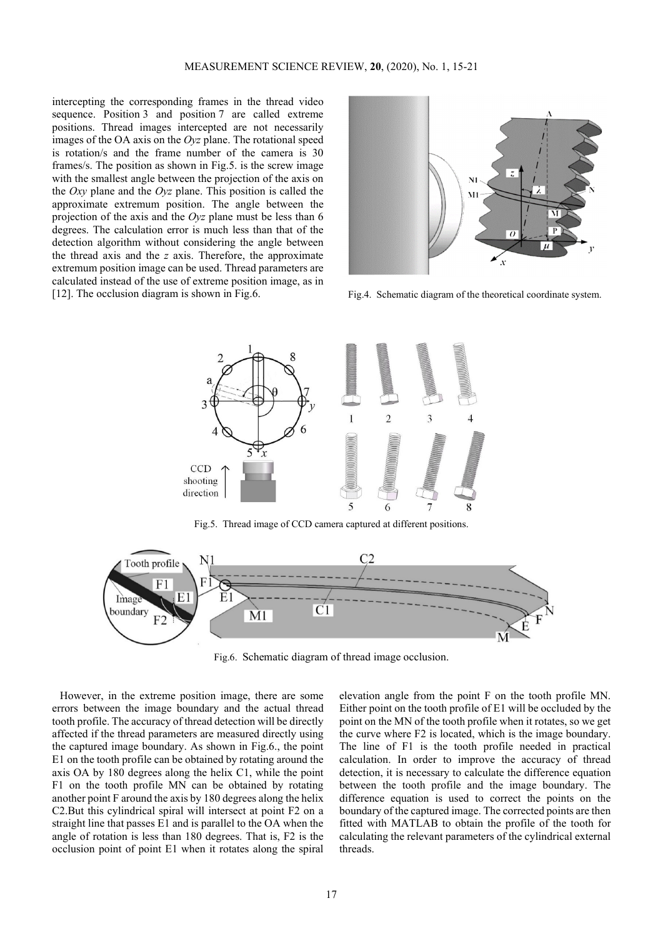intercepting the corresponding frames in the thread video sequence. Position 3 and position 7 are called extreme positions. Thread images intercepted are not necessarily images of the OA axis on the *Oyz* plane. The rotational speed is rotation/s and the frame number of the camera is 30 frames/s. The position as shown in Fig.5. is the screw image with the smallest angle between the projection of the axis on the *Oxy* plane and the *Oyz* plane. This position is called the approximate extremum position. The angle between the projection of the axis and the *Oyz* plane must be less than 6 degrees. The calculation error is much less than that of the detection algorithm without considering the angle between the thread axis and the *z* axis. Therefore, the approximate extremum position image can be used. Thread parameters are calculated instead of the use of extreme position image, as in [12]. The occlusion diagram is shown in Fig.6. Fig.4. Schematic diagram of the theoretical coordinate system.





Fig.5. Thread image of CCD camera captured at different positions.



Fig.6. Schematic diagram of thread image occlusion.

However, in the extreme position image, there are some errors between the image boundary and the actual thread tooth profile. The accuracy of thread detection will be directly affected if the thread parameters are measured directly using the captured image boundary. As shown in Fig.6., the point E1 on the tooth profile can be obtained by rotating around the axis OA by 180 degrees along the helix C1, while the point F1 on the tooth profile MN can be obtained by rotating another point F around the axis by 180 degrees along the helix C2.But this cylindrical spiral will intersect at point F2 on a straight line that passes E1 and is parallel to the OA when the angle of rotation is less than 180 degrees. That is, F2 is the occlusion point of point E1 when it rotates along the spiral

elevation angle from the point F on the tooth profile MN. Either point on the tooth profile of E1 will be occluded by the point on the MN of the tooth profile when it rotates, so we get the curve where F2 is located, which is the image boundary. The line of F1 is the tooth profile needed in practical calculation. In order to improve the accuracy of thread detection, it is necessary to calculate the difference equation between the tooth profile and the image boundary. The difference equation is used to correct the points on the boundary of the captured image. The corrected points are then fitted with MATLAB to obtain the profile of the tooth for calculating the relevant parameters of the cylindrical external threads.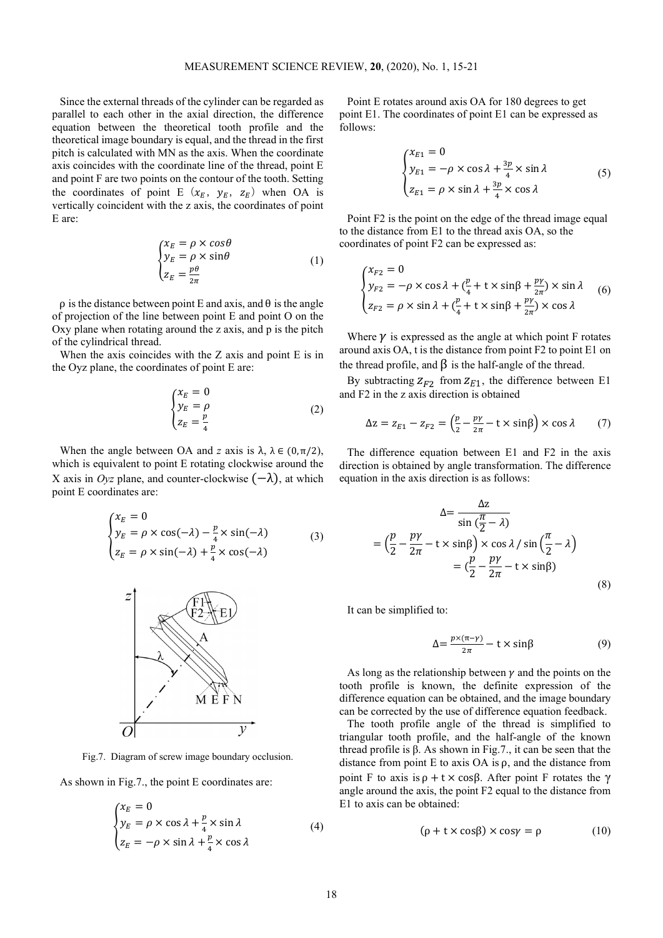Since the external threads of the cylinder can be regarded as parallel to each other in the axial direction, the difference equation between the theoretical tooth profile and the theoretical image boundary is equal, and the thread in the first pitch is calculated with MN as the axis. When the coordinate axis coincides with the coordinate line of the thread, point E and point F are two points on the contour of the tooth. Setting the coordinates of point E  $(x_E, y_E, z_E)$  when OA is vertically coincident with the z axis, the coordinates of point E are:

$$
\begin{cases}\n x_E = \rho \times \cos \theta \\
y_E = \rho \times \sin \theta \\
z_E = \frac{p\theta}{2\pi}\n\end{cases}
$$
\n(1)

 $ρ$  is the distance between point E and axis, and θ is the angle of projection of the line between point E and point O on the Oxy plane when rotating around the z axis, and p is the pitch of the cylindrical thread.

When the axis coincides with the Z axis and point E is in the Oyz plane, the coordinates of point E are:

$$
\begin{cases}\n\chi_E = 0\\ \n\chi_E = \rho\\ \n\chi_E = \frac{p}{4}\n\end{cases}
$$
\n(2)

When the angle between OA and *z* axis is  $\lambda$ ,  $\lambda \in (0, \pi/2)$ , which is equivalent to point E rotating clockwise around the X axis in *Oyz* plane, and counter-clockwise  $(-\lambda)$ , at which point E coordinates are:

$$
\begin{cases}\n x_E = 0 \\
y_E = \rho \times \cos(-\lambda) - \frac{p}{4} \times \sin(-\lambda) \\
z_E = \rho \times \sin(-\lambda) + \frac{p}{4} \times \cos(-\lambda)\n\end{cases}
$$
\n(3)



Fig.7. Diagram of screw image boundary occlusion.

As shown in Fig.7., the point E coordinates are:

$$
\begin{cases}\n x_E = 0 \\
y_E = \rho \times \cos \lambda + \frac{p}{4} \times \sin \lambda \\
z_E = -\rho \times \sin \lambda + \frac{p}{4} \times \cos \lambda\n\end{cases}
$$
\n(4)

Point E rotates around axis OA for 180 degrees to get point E1. The coordinates of point E1 can be expressed as follows:

$$
\begin{cases}\n x_{E1} = 0 \\
y_{E1} = -\rho \times \cos \lambda + \frac{3p}{4} \times \sin \lambda \\
z_{E1} = \rho \times \sin \lambda + \frac{3p}{4} \times \cos \lambda\n\end{cases}
$$
\n(5)

Point F2 is the point on the edge of the thread image equal to the distance from E1 to the thread axis OA, so the coordinates of point F2 can be expressed as:

$$
\begin{cases} x_{F2} = 0\\ y_{F2} = -\rho \times \cos \lambda + (\frac{p}{4} + t \times \sin \beta + \frac{p\gamma}{2\pi}) \times \sin \lambda\\ z_{F2} = \rho \times \sin \lambda + (\frac{p}{4} + t \times \sin \beta + \frac{p\gamma}{2\pi}) \times \cos \lambda \end{cases} (6)
$$

Where  $\nu$  is expressed as the angle at which point F rotates around axis OA, t is the distance from point F2 to point E1 on the thread profile, and  $\beta$  is the half-angle of the thread.

By subtracting  $Z_{F2}$  from  $Z_{E1}$ , the difference between E1 and F2 in the z axis direction is obtained

$$
\Delta z = z_{E1} - z_{F2} = \left(\frac{p}{2} - \frac{p\gamma}{2\pi} - t \times \sin\beta\right) \times \cos\lambda \tag{7}
$$

The difference equation between E1 and F2 in the axis direction is obtained by angle transformation. The difference equation in the axis direction is as follows:

$$
\Delta = \frac{\Delta z}{\sin(\frac{\pi}{2} - \lambda)}
$$
  
=  $\left(\frac{p}{2} - \frac{p\gamma}{2\pi} - t \times \sin\beta\right) \times \cos \lambda / \sin(\frac{\pi}{2} - \lambda)$   
=  $\left(\frac{p}{2} - \frac{p\gamma}{2\pi} - t \times \sin\beta\right)$  (8)

It can be simplified to:

$$
\Delta = \frac{p \times (\pi - \gamma)}{2\pi} - t \times \sin\beta \tag{9}
$$

As long as the relationship between  $\gamma$  and the points on the tooth profile is known, the definite expression of the difference equation can be obtained, and the image boundary can be corrected by the use of difference equation feedback.

The tooth profile angle of the thread is simplified to triangular tooth profile, and the half-angle of the known thread profile is β. As shown in Fig.7., it can be seen that the distance from point E to axis OA is  $\rho$ , and the distance from point F to axis is  $\rho + t \times \cos\beta$ . After point F rotates the  $\gamma$ angle around the axis, the point F2 equal to the distance from E1 to axis can be obtained:

$$
(\rho + t \times \cos\beta) \times \cos\gamma = \rho \tag{10}
$$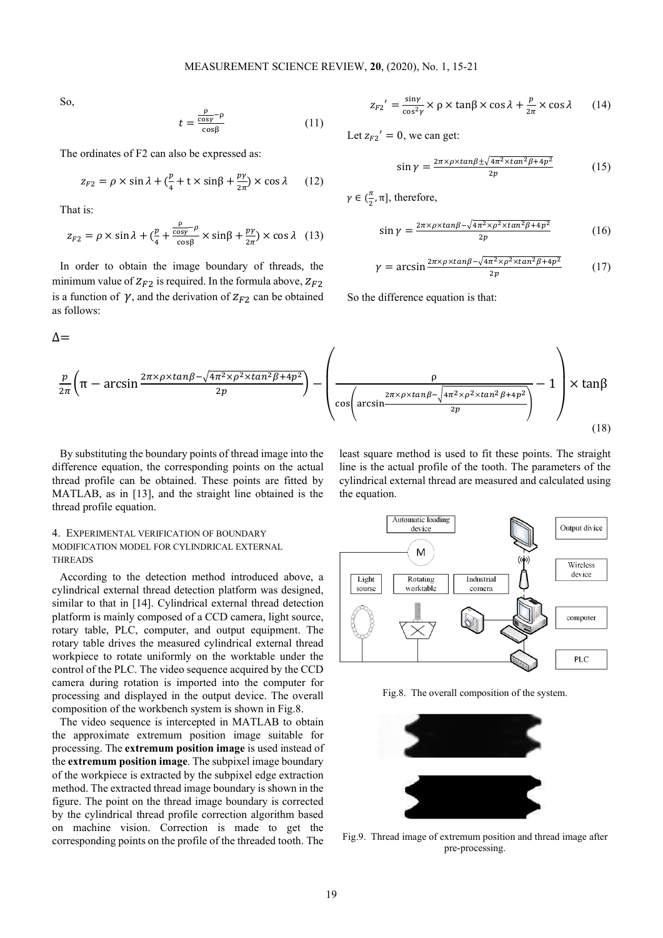So,

$$
t = \frac{\frac{\rho}{\cos \rho} - \rho}{\cos \beta} \tag{11}
$$

The ordinates of F2 can also be expressed as:

$$
z_{F2} = \rho \times \sin \lambda + \left(\frac{p}{4} + t \times \sin \beta + \frac{p\gamma}{2\pi}\right) \times \cos \lambda \qquad (12)
$$

That is:

$$
z_{F2} = \rho \times \sin \lambda + \left(\frac{p}{4} + \frac{\frac{\rho}{\cos \gamma} - \rho}{\cos \beta} \times \sin \beta + \frac{p\gamma}{2\pi} \right) \times \cos \lambda \quad (13)
$$

In order to obtain the image boundary of threads, the minimum value of  $Z_{F2}$  is required. In the formula above,  $Z_{F2}$ is a function of  $\gamma$ , and the derivation of  $Z_{F2}$  can be obtained as follows:

$$
\Delta{=}
$$

$$
z_{F2}' = \frac{\sin \gamma}{\cos^2 \gamma} \times \rho \times \tan \beta \times \cos \lambda + \frac{p}{2\pi} \times \cos \lambda \qquad (14)
$$

Let  $z_{F2}' = 0$ , we can get:

$$
\sin \gamma = \frac{2\pi \times \rho \times \tan\beta \pm \sqrt{4\pi^2 \times \tan^2\beta + 4p^2}}{2p} \tag{15}
$$

 $\gamma \in (\frac{\pi}{2}, \pi]$ , therefore,

$$
\sin \gamma = \frac{2\pi \times \rho \times \tan\beta - \sqrt{4\pi^2 \times \rho^2 \times \tan^2\beta + 4p^2}}{2p} \tag{16}
$$

$$
\gamma = \arcsin \frac{2\pi \times \rho \times \tan\beta - \sqrt{4\pi^2 \times \rho^2 \times \tan^2\beta + 4p^2}}{2p} \tag{17}
$$

So the difference equation is that:

$$
\frac{p}{2\pi} \left( \pi - \arcsin \frac{2\pi \times \rho \times \tan \beta - \sqrt{4\pi^2 \times \rho^2 \times \tan^2 \beta + 4p^2}}{2p} \right) - \left( \frac{\rho}{\cos \left( \arcsin \frac{2\pi \times \rho \times \tan \beta - \sqrt{4\pi^2 \times \rho^2 \times \tan^2 \beta + 4p^2}}{2p} \right)} - 1 \right) \times \tan \beta
$$
\n(18)

By substituting the boundary points of thread image into the difference equation, the corresponding points on the actual thread profile can be obtained. These points are fitted by MATLAB, as in [13], and the straight line obtained is the thread profile equation.

## 4. EXPERIMENTAL VERIFICATION OF BOUNDARY MODIFICATION MODEL FOR CYLINDRICAL EXTERNAL THREADS

According to the detection method introduced above, a cylindrical external thread detection platform was designed, similar to that in [14]. Cylindrical external thread detection platform is mainly composed of a CCD camera, light source, rotary table, PLC, computer, and output equipment. The rotary table drives the measured cylindrical external thread workpiece to rotate uniformly on the worktable under the control of the PLC. The video sequence acquired by the CCD camera during rotation is imported into the computer for processing and displayed in the output device. The overall composition of the workbench system is shown in Fig.8.

The video sequence is intercepted in MATLAB to obtain the approximate extremum position image suitable for processing. The **extremum position image** is used instead of the **extremum position image**. The subpixel image boundary of the workpiece is extracted by the subpixel edge extraction method. The extracted thread image boundary is shown in the figure. The point on the thread image boundary is corrected by the cylindrical thread profile correction algorithm based on machine vision. Correction is made to get the corresponding points on the profile of the threaded tooth. The

least square method is used to fit these points. The straight line is the actual profile of the tooth. The parameters of the cylindrical external thread are measured and calculated using the equation.



Fig.8. The overall composition of the system.



Fig.9. Thread image of extremum position and thread image after pre-processing.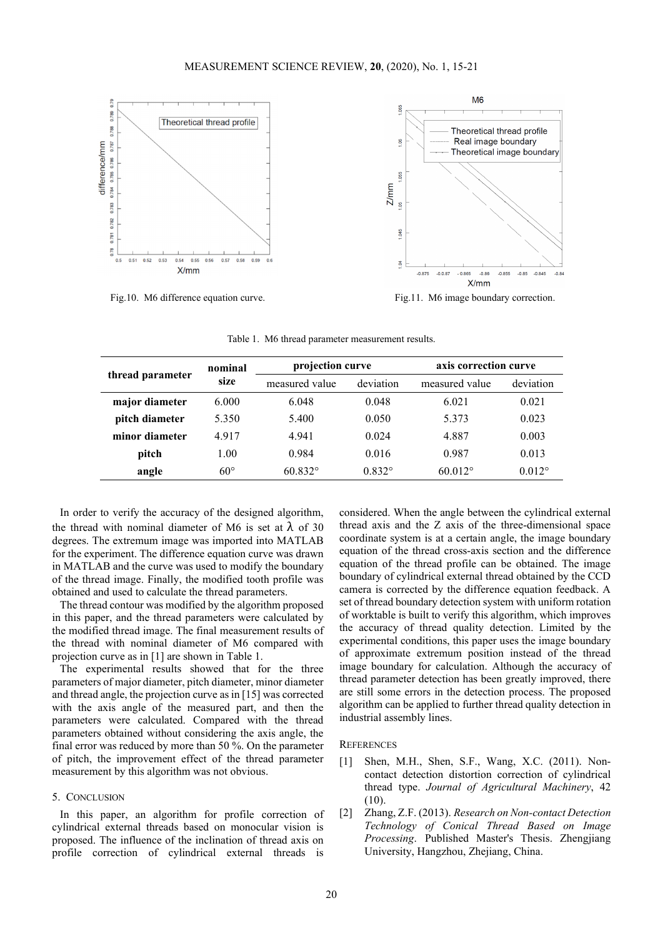

Fig.10. M6 difference equation curve. Fig.11. M6 image boundary correction.

| thread parameter | nominal<br>size | projection curve |                 | axis correction curve |                 |
|------------------|-----------------|------------------|-----------------|-----------------------|-----------------|
|                  |                 | measured value   | deviation       | measured value        | deviation       |
| major diameter   | 6.000           | 6.048            | 0.048           | 6.021                 | 0.021           |
| pitch diameter   | 5.350           | 5.400            | 0.050           | 5.373                 | 0.023           |
| minor diameter   | 4.917           | 4.941            | 0.024           | 4.887                 | 0.003           |
| pitch            | 1.00            | 0.984            | 0.016           | 0.987                 | 0.013           |
| angle            | $60^{\circ}$    | $60.832^{\circ}$ | $0.832^{\circ}$ | $60.012^{\circ}$      | $0.012^{\circ}$ |

Table 1. M6 thread parameter measurement results.

In order to verify the accuracy of the designed algorithm, the thread with nominal diameter of M6 is set at  $\lambda$  of 30 degrees. The extremum image was imported into MATLAB for the experiment. The difference equation curve was drawn in MATLAB and the curve was used to modify the boundary of the thread image. Finally, the modified tooth profile was obtained and used to calculate the thread parameters.

The thread contour was modified by the algorithm proposed in this paper, and the thread parameters were calculated by the modified thread image. The final measurement results of the thread with nominal diameter of M6 compared with projection curve as in [1] are shown in Table 1.

The experimental results showed that for the three parameters of major diameter, pitch diameter, minor diameter and thread angle, the projection curve as in [15] was corrected with the axis angle of the measured part, and then the parameters were calculated. Compared with the thread parameters obtained without considering the axis angle, the final error was reduced by more than 50 %. On the parameter of pitch, the improvement effect of the thread parameter measurement by this algorithm was not obvious.

## 5. CONCLUSION

In this paper, an algorithm for profile correction of cylindrical external threads based on monocular vision is proposed. The influence of the inclination of thread axis on profile correction of cylindrical external threads is considered. When the angle between the cylindrical external thread axis and the Z axis of the three-dimensional space coordinate system is at a certain angle, the image boundary equation of the thread cross-axis section and the difference equation of the thread profile can be obtained. The image boundary of cylindrical external thread obtained by the CCD camera is corrected by the difference equation feedback. A set of thread boundary detection system with uniform rotation of worktable is built to verify this algorithm, which improves the accuracy of thread quality detection. Limited by the experimental conditions, this paper uses the image boundary of approximate extremum position instead of the thread image boundary for calculation. Although the accuracy of thread parameter detection has been greatly improved, there are still some errors in the detection process. The proposed algorithm can be applied to further thread quality detection in industrial assembly lines.

#### **REFERENCES**

- [1] Shen, M.H., Shen, S.F., Wang, X.C. (2011). Noncontact detection distortion correction of cylindrical thread type. *Journal of Agricultural Machinery*, 42 (10).
- [2] Zhang, Z.F. (2013). *Research on Non-contact Detection Technology of Conical Thread Based on Image Processing*. Published Master's Thesis. Zhengjiang University, Hangzhou, Zhejiang, China.